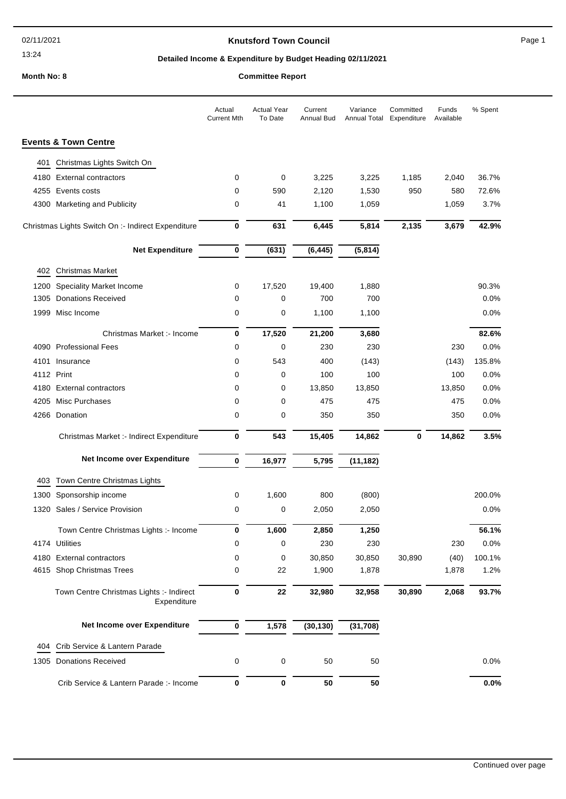## **Knutsford Town Council Example 20 and Secure 20 and Secure 20 and Page 1**

# **Detailed Income & Expenditure by Budget Heading 02/11/2021**

# **Month No: 8 Committee Report**

|      |                                                         | Actual<br><b>Current Mth</b> | <b>Actual Year</b><br>To Date | Current<br>Annual Bud | Variance<br>Annual Total | Committed<br>Expenditure | Funds<br>Available | % Spent |
|------|---------------------------------------------------------|------------------------------|-------------------------------|-----------------------|--------------------------|--------------------------|--------------------|---------|
|      | <b>Events &amp; Town Centre</b>                         |                              |                               |                       |                          |                          |                    |         |
| 401  | Christmas Lights Switch On                              |                              |                               |                       |                          |                          |                    |         |
| 4180 | <b>External contractors</b>                             | 0                            | 0                             | 3,225                 | 3,225                    | 1,185                    | 2,040              | 36.7%   |
|      | 4255 Events costs                                       | 0                            | 590                           | 2,120                 | 1,530                    | 950                      | 580                | 72.6%   |
|      | 4300 Marketing and Publicity                            | 0                            | 41                            | 1,100                 | 1,059                    |                          | 1,059              | 3.7%    |
|      | Christmas Lights Switch On :- Indirect Expenditure      | $\bf{0}$                     | 631                           | 6,445                 | 5,814                    | 2,135                    | 3,679              | 42.9%   |
|      | <b>Net Expenditure</b>                                  | $\bf{0}$                     | (631)                         | (6, 445)              | (5,814)                  |                          |                    |         |
| 402  | <b>Christmas Market</b>                                 |                              |                               |                       |                          |                          |                    |         |
| 1200 | Speciality Market Income                                | 0                            | 17,520                        | 19,400                | 1,880                    |                          |                    | 90.3%   |
| 1305 | <b>Donations Received</b>                               | 0                            | 0                             | 700                   | 700                      |                          |                    | 0.0%    |
| 1999 | Misc Income                                             | 0                            | 0                             | 1,100                 | 1,100                    |                          |                    | 0.0%    |
|      | Christmas Market :- Income                              | 0                            | 17,520                        | 21,200                | 3,680                    |                          |                    | 82.6%   |
|      | 4090 Professional Fees                                  | 0                            | 0                             | 230                   | 230                      |                          | 230                | 0.0%    |
| 4101 | Insurance                                               | 0                            | 543                           | 400                   | (143)                    |                          | (143)              | 135.8%  |
|      | 4112 Print                                              | 0                            | 0                             | 100                   | 100                      |                          | 100                | 0.0%    |
| 4180 | <b>External contractors</b>                             | 0                            | 0                             | 13,850                | 13,850                   |                          | 13,850             | 0.0%    |
| 4205 | Misc Purchases                                          | 0                            | 0                             | 475                   | 475                      |                          | 475                | 0.0%    |
|      | 4266 Donation                                           | 0                            | 0                             | 350                   | 350                      |                          | 350                | 0.0%    |
|      | Christmas Market :- Indirect Expenditure                | 0                            | 543                           | 15,405                | 14,862                   | $\mathbf 0$              | 14,862             | 3.5%    |
|      | Net Income over Expenditure                             | $\bf{0}$                     | 16,977                        | 5,795                 | (11, 182)                |                          |                    |         |
| 403  | Town Centre Christmas Lights                            |                              |                               |                       |                          |                          |                    |         |
| 1300 | Sponsorship income                                      | 0                            | 1,600                         | 800                   | (800)                    |                          |                    | 200.0%  |
| 1320 | Sales / Service Provision                               | 0                            | 0                             | 2,050                 | 2,050                    |                          |                    | 0.0%    |
|      | Town Centre Christmas Lights :- Income                  | 0                            | 1,600                         | 2,850                 | 1,250                    |                          |                    | 56.1%   |
|      | 4174 Utilities                                          | 0                            | 0                             | 230                   | 230                      |                          | 230                | $0.0\%$ |
| 4180 | <b>External contractors</b>                             | 0                            | 0                             | 30,850                | 30,850                   | 30,890                   | (40)               | 100.1%  |
|      | 4615 Shop Christmas Trees                               | 0                            | 22                            | 1,900                 | 1,878                    |                          | 1,878              | 1.2%    |
|      | Town Centre Christmas Lights :- Indirect<br>Expenditure | $\pmb{0}$                    | 22                            | 32,980                | 32,958                   | 30,890                   | 2,068              | 93.7%   |
|      | Net Income over Expenditure                             | $\pmb{0}$                    | 1,578                         | (30, 130)             | (31, 708)                |                          |                    |         |
| 404  | Crib Service & Lantern Parade                           |                              |                               |                       |                          |                          |                    |         |
|      | 1305 Donations Received                                 | 0                            | 0                             | 50                    | 50                       |                          |                    | 0.0%    |
|      | Crib Service & Lantern Parade :- Income                 | $\bf{0}$                     | $\pmb{0}$                     | 50                    | 50                       |                          |                    | 0.0%    |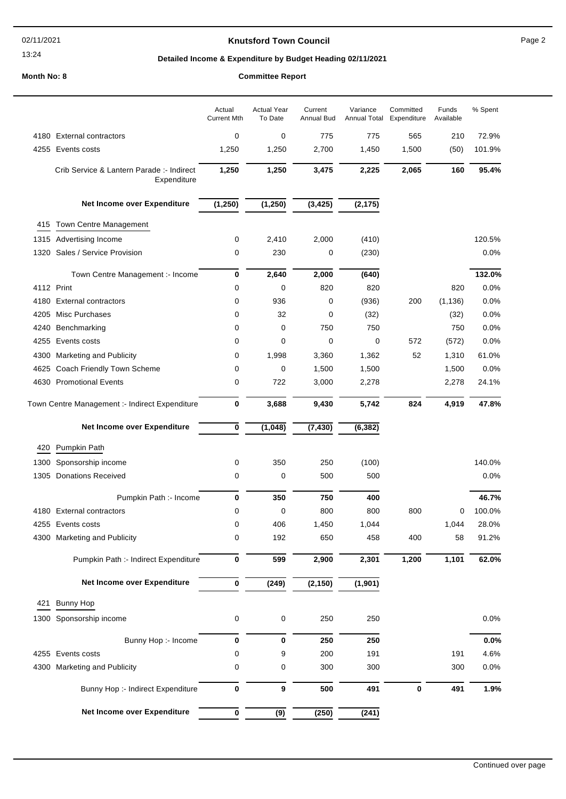### **Knutsford Town Council Example 2** Page 2

# **Detailed Income & Expenditure by Budget Heading 02/11/2021**

### **Month No: 8**

| <b>Committee Report</b> |  |
|-------------------------|--|
|-------------------------|--|

|      |                                                          | Actual<br><b>Current Mth</b> | <b>Actual Year</b><br>To Date | Current<br>Annual Bud | Variance<br>Annual Total | Committed<br>Expenditure | Funds<br>Available | % Spent |
|------|----------------------------------------------------------|------------------------------|-------------------------------|-----------------------|--------------------------|--------------------------|--------------------|---------|
|      | 4180 External contractors                                | 0                            | 0                             | 775                   | 775                      | 565                      | 210                | 72.9%   |
|      | 4255 Events costs                                        | 1,250                        | 1,250                         | 2,700                 | 1,450                    | 1,500                    | (50)               | 101.9%  |
|      | Crib Service & Lantern Parade :- Indirect<br>Expenditure | 1,250                        | 1,250                         | 3,475                 | 2,225                    | 2,065                    | 160                | 95.4%   |
|      | Net Income over Expenditure                              | (1, 250)                     | (1, 250)                      | (3, 425)              | (2, 175)                 |                          |                    |         |
| 415  | Town Centre Management                                   |                              |                               |                       |                          |                          |                    |         |
|      | 1315 Advertising Income                                  | 0                            | 2,410                         | 2,000                 | (410)                    |                          |                    | 120.5%  |
| 1320 | Sales / Service Provision                                | 0                            | 230                           | 0                     | (230)                    |                          |                    | 0.0%    |
|      | Town Centre Management :- Income                         | 0                            | 2,640                         | 2,000                 | (640)                    |                          |                    | 132.0%  |
|      | 4112 Print                                               | 0                            | $\mathbf 0$                   | 820                   | 820                      |                          | 820                | 0.0%    |
| 4180 | <b>External contractors</b>                              | 0                            | 936                           | 0                     | (936)                    | 200                      | (1, 136)           | 0.0%    |
| 4205 | Misc Purchases                                           | 0                            | 32                            | 0                     | (32)                     |                          | (32)               | 0.0%    |
| 4240 | Benchmarking                                             | 0                            | 0                             | 750                   | 750                      |                          | 750                | 0.0%    |
| 4255 | Events costs                                             | 0                            | $\mathbf 0$                   | 0                     | 0                        | 572                      | (572)              | 0.0%    |
| 4300 | <b>Marketing and Publicity</b>                           | 0                            | 1,998                         | 3,360                 | 1,362                    | 52                       | 1,310              | 61.0%   |
| 4625 | Coach Friendly Town Scheme                               | 0                            | 0                             | 1,500                 | 1,500                    |                          | 1,500              | 0.0%    |
| 4630 | <b>Promotional Events</b>                                | 0                            | 722                           | 3,000                 | 2,278                    |                          | 2,278              | 24.1%   |
|      | Town Centre Management :- Indirect Expenditure           | 0                            | 3,688                         | 9,430                 | 5,742                    | 824                      | 4,919              | 47.8%   |
|      | Net Income over Expenditure                              | $\bf{0}$                     | (1,048)                       | (7, 430)              | (6, 382)                 |                          |                    |         |
| 420  | Pumpkin Path                                             |                              |                               |                       |                          |                          |                    |         |
| 1300 | Sponsorship income                                       | 0                            | 350                           | 250                   | (100)                    |                          |                    | 140.0%  |
| 1305 | <b>Donations Received</b>                                | 0                            | 0                             | 500                   | 500                      |                          |                    | 0.0%    |
|      | Pumpkin Path :- Income                                   | $\bf{0}$                     | 350                           | 750                   | 400                      |                          |                    | 46.7%   |
|      | 4180 External contractors                                | 0                            | 0                             | 800                   | 800                      | 800                      | 0                  | 100.0%  |
|      | 4255 Events costs                                        | 0                            | 406                           | 1,450                 | 1,044                    |                          | 1,044              | 28.0%   |
|      | 4300 Marketing and Publicity                             | 0                            | 192                           | 650                   | 458                      | 400                      | 58                 | 91.2%   |
|      | Pumpkin Path :- Indirect Expenditure                     | 0                            | 599                           | 2,900                 | 2,301                    | 1,200                    | 1,101              | 62.0%   |
|      | Net Income over Expenditure                              | 0                            | (249)                         | (2, 150)              | (1, 901)                 |                          |                    |         |
| 421  | <b>Bunny Hop</b>                                         |                              |                               |                       |                          |                          |                    |         |
| 1300 | Sponsorship income                                       | 0                            | 0                             | 250                   | 250                      |                          |                    | 0.0%    |
|      | Bunny Hop :- Income                                      | 0                            | 0                             | 250                   | 250                      |                          |                    | 0.0%    |
|      | 4255 Events costs                                        | 0                            | 9                             | 200                   | 191                      |                          | 191                | 4.6%    |
| 4300 | <b>Marketing and Publicity</b>                           | 0                            | 0                             | 300                   | 300                      |                          | 300                | 0.0%    |
|      | Bunny Hop :- Indirect Expenditure                        | $\bf{0}$                     | 9                             | 500                   | 491                      | $\bf{0}$                 | 491                | 1.9%    |
|      | Net Income over Expenditure                              | $\pmb{0}$                    | $\overline{(9)}$              | (250)                 | (241)                    |                          |                    |         |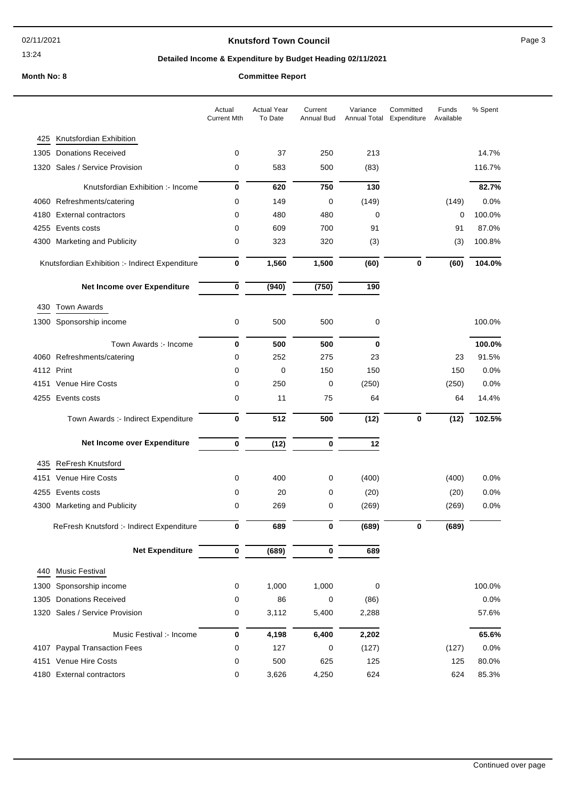### **Knutsford Town Council Example 20 Apr 20 Apr 20 Apr 20 Apr 20 Apr 20 Apr 20 Apr 20 Apr 20 Apr 20 Apr 20 Apr 20 Apr 20 Apr 20 Apr 20 Apr 20 Apr 20 Apr 20 Apr 20 Apr 20 Apr 20 Apr 20 Apr 20 Apr 20 Apr 20 Apr 20 Apr 20 Apr**

# **Detailed Income & Expenditure by Budget Heading 02/11/2021**

# **Month No: 8 Committee Report**

|      |                                                 | Actual<br><b>Current Mth</b> | <b>Actual Year</b><br>To Date | Current<br>Annual Bud | Variance<br>Annual Total | Committed<br>Expenditure | Funds<br>Available | % Spent |
|------|-------------------------------------------------|------------------------------|-------------------------------|-----------------------|--------------------------|--------------------------|--------------------|---------|
| 425  | Knutsfordian Exhibition                         |                              |                               |                       |                          |                          |                    |         |
| 1305 | <b>Donations Received</b>                       | 0                            | 37                            | 250                   | 213                      |                          |                    | 14.7%   |
| 1320 | Sales / Service Provision                       | 0                            | 583                           | 500                   | (83)                     |                          |                    | 116.7%  |
|      | Knutsfordian Exhibition :- Income               | 0                            | 620                           | 750                   | 130                      |                          |                    | 82.7%   |
|      | 4060 Refreshments/catering                      | 0                            | 149                           | 0                     | (149)                    |                          | (149)              | 0.0%    |
| 4180 | <b>External contractors</b>                     | 0                            | 480                           | 480                   | 0                        |                          | 0                  | 100.0%  |
|      | 4255 Events costs                               | 0                            | 609                           | 700                   | 91                       |                          | 91                 | 87.0%   |
| 4300 | <b>Marketing and Publicity</b>                  | 0                            | 323                           | 320                   | (3)                      |                          | (3)                | 100.8%  |
|      | Knutsfordian Exhibition :- Indirect Expenditure | 0                            | 1,560                         | 1,500                 | (60)                     | 0                        | (60)               | 104.0%  |
|      | Net Income over Expenditure                     | 0                            | (940)                         | (750)                 | 190                      |                          |                    |         |
| 430  | <b>Town Awards</b>                              |                              |                               |                       |                          |                          |                    |         |
|      | 1300 Sponsorship income                         | 0                            | 500                           | 500                   | 0                        |                          |                    | 100.0%  |
|      | Town Awards :- Income                           | 0                            | 500                           | 500                   | 0                        |                          |                    | 100.0%  |
|      | 4060 Refreshments/catering                      | 0                            | 252                           | 275                   | 23                       |                          | 23                 | 91.5%   |
|      | 4112 Print                                      | 0                            | 0                             | 150                   | 150                      |                          | 150                | 0.0%    |
|      | 4151 Venue Hire Costs                           | 0                            | 250                           | 0                     | (250)                    |                          | (250)              | 0.0%    |
|      | 4255 Events costs                               | 0                            | 11                            | 75                    | 64                       |                          | 64                 | 14.4%   |
|      | Town Awards :- Indirect Expenditure             | 0                            | 512                           | 500                   | (12)                     | 0                        | (12)               | 102.5%  |
|      | Net Income over Expenditure                     | 0                            | (12)                          | $\pmb{0}$             | 12                       |                          |                    |         |
| 435  | <b>ReFresh Knutsford</b>                        |                              |                               |                       |                          |                          |                    |         |
| 4151 | <b>Venue Hire Costs</b>                         | 0                            | 400                           | 0                     | (400)                    |                          | (400)              | 0.0%    |
|      | 4255 Events costs                               | 0                            | 20                            | 0                     | (20)                     |                          | (20)               | 0.0%    |
|      | 4300 Marketing and Publicity                    | 0                            | 269                           | 0                     | (269)                    |                          | (269)              | 0.0%    |
|      | ReFresh Knutsford :- Indirect Expenditure       | 0                            | 689                           | $\bf{0}$              | (689)                    | 0                        | (689)              |         |
|      | <b>Net Expenditure</b>                          | 0                            | (689)                         | 0                     | 689                      |                          |                    |         |
| 440  | <b>Music Festival</b>                           |                              |                               |                       |                          |                          |                    |         |
| 1300 | Sponsorship income                              | 0                            | 1,000                         | 1,000                 | 0                        |                          |                    | 100.0%  |
|      | 1305 Donations Received                         | 0                            | 86                            | 0                     | (86)                     |                          |                    | 0.0%    |
|      | 1320 Sales / Service Provision                  | 0                            | 3,112                         | 5,400                 | 2,288                    |                          |                    | 57.6%   |
|      | Music Festival :- Income                        | 0                            | 4,198                         | 6,400                 | 2,202                    |                          |                    | 65.6%   |
|      | 4107 Paypal Transaction Fees                    | 0                            | 127                           | 0                     | (127)                    |                          | (127)              | 0.0%    |
|      | 4151 Venue Hire Costs                           | 0                            | 500                           | 625                   | 125                      |                          | 125                | 80.0%   |
|      | 4180 External contractors                       | 0                            | 3,626                         | 4,250                 | 624                      |                          | 624                | 85.3%   |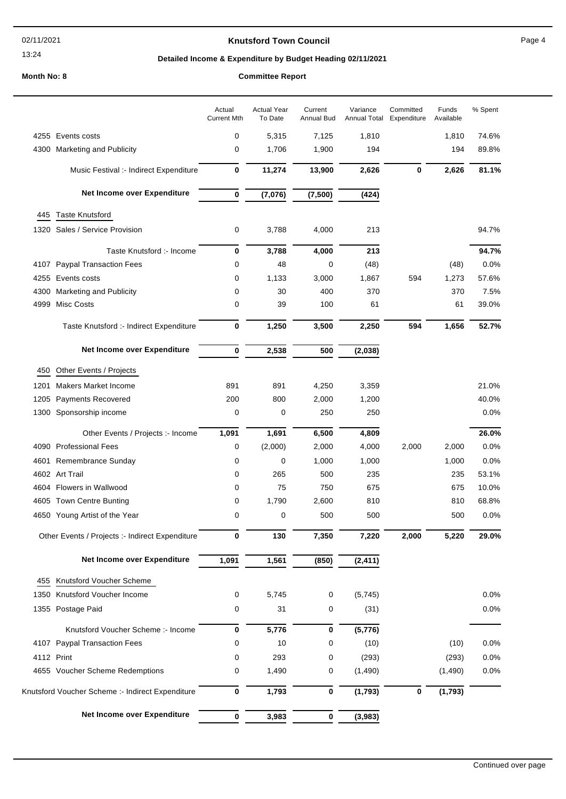### **Knutsford Town Council Example 20 A Research 20 A Research 20 A Research 20 A Research 20 A Research 20 A Research 20 A Research 20 A Research 20 A Research 20 A Research 20 A Research 20 A Research 20 A Research 20 A R**

# **Detailed Income & Expenditure by Budget Heading 02/11/2021**

### **Month No: 8**

| <b>Committee Report</b> |  |
|-------------------------|--|
|-------------------------|--|

|      |                                                  | Actual<br><b>Current Mth</b> | <b>Actual Year</b><br>To Date | Current<br>Annual Bud | Variance<br>Annual Total | Committed<br>Expenditure | Funds<br>Available | % Spent |
|------|--------------------------------------------------|------------------------------|-------------------------------|-----------------------|--------------------------|--------------------------|--------------------|---------|
|      | 4255 Events costs                                | 0                            | 5,315                         | 7,125                 | 1,810                    |                          | 1,810              | 74.6%   |
|      | 4300 Marketing and Publicity                     | 0                            | 1,706                         | 1,900                 | 194                      |                          | 194                | 89.8%   |
|      | Music Festival :- Indirect Expenditure           | 0                            | 11,274                        | 13,900                | 2,626                    | 0                        | 2,626              | 81.1%   |
|      | Net Income over Expenditure                      | $\bf{0}$                     | (7,076)                       | (7,500)               | (424)                    |                          |                    |         |
| 445  | <b>Taste Knutsford</b>                           |                              |                               |                       |                          |                          |                    |         |
|      | 1320 Sales / Service Provision                   | 0                            | 3,788                         | 4,000                 | 213                      |                          |                    | 94.7%   |
|      | Taste Knutsford :- Income                        | 0                            | 3,788                         | 4,000                 | 213                      |                          |                    | 94.7%   |
| 4107 | <b>Paypal Transaction Fees</b>                   | 0                            | 48                            | 0                     | (48)                     |                          | (48)               | 0.0%    |
|      | 4255 Events costs                                | 0                            | 1,133                         | 3,000                 | 1,867                    | 594                      | 1,273              | 57.6%   |
| 4300 | Marketing and Publicity                          | 0                            | 30                            | 400                   | 370                      |                          | 370                | 7.5%    |
| 4999 | <b>Misc Costs</b>                                | 0                            | 39                            | 100                   | 61                       |                          | 61                 | 39.0%   |
|      | Taste Knutsford :- Indirect Expenditure          | 0                            | 1,250                         | 3,500                 | 2,250                    | 594                      | 1,656              | 52.7%   |
|      | Net Income over Expenditure                      | $\pmb{0}$                    | 2,538                         | 500                   | (2,038)                  |                          |                    |         |
| 450  | Other Events / Projects                          |                              |                               |                       |                          |                          |                    |         |
| 1201 | Makers Market Income                             | 891                          | 891                           | 4,250                 | 3,359                    |                          |                    | 21.0%   |
| 1205 | <b>Payments Recovered</b>                        | 200                          | 800                           | 2,000                 | 1,200                    |                          |                    | 40.0%   |
|      | 1300 Sponsorship income                          | 0                            | 0                             | 250                   | 250                      |                          |                    | 0.0%    |
|      | Other Events / Projects :- Income                | 1,091                        | 1,691                         | 6,500                 | 4,809                    |                          |                    | 26.0%   |
|      | 4090 Professional Fees                           | 0                            | (2,000)                       | 2,000                 | 4,000                    | 2,000                    | 2,000              | 0.0%    |
|      | 4601 Remembrance Sunday                          | 0                            | $\mathbf 0$                   | 1,000                 | 1,000                    |                          | 1,000              | 0.0%    |
|      | 4602 Art Trail                                   | 0                            | 265                           | 500                   | 235                      |                          | 235                | 53.1%   |
|      | 4604 Flowers in Wallwood                         | 0                            | 75                            | 750                   | 675                      |                          | 675                | 10.0%   |
|      | 4605 Town Centre Bunting                         | 0                            | 1,790                         | 2,600                 | 810                      |                          | 810                | 68.8%   |
|      | 4650 Young Artist of the Year                    | 0                            | 0                             | 500                   | 500                      |                          | 500                | 0.0%    |
|      | Other Events / Projects :- Indirect Expenditure  | 0                            | 130                           | 7,350                 | 7,220                    | 2,000                    | 5,220              | 29.0%   |
|      | Net Income over Expenditure                      | 1,091                        | 1,561                         | (850)                 | (2, 411)                 |                          |                    |         |
| 455  | Knutsford Voucher Scheme                         |                              |                               |                       |                          |                          |                    |         |
| 1350 | Knutsford Voucher Income                         | 0                            | 5,745                         | 0                     | (5, 745)                 |                          |                    | 0.0%    |
|      | 1355 Postage Paid                                | 0                            | 31                            | 0                     | (31)                     |                          |                    | 0.0%    |
|      | Knutsford Voucher Scheme: - Income               | $\pmb{0}$                    | 5,776                         | 0                     | (5,776)                  |                          |                    |         |
|      | 4107 Paypal Transaction Fees                     | 0                            | 10                            | 0                     | (10)                     |                          | (10)               | 0.0%    |
|      | 4112 Print                                       | 0                            | 293                           | 0                     | (293)                    |                          | (293)              | 0.0%    |
|      | 4655 Voucher Scheme Redemptions                  | 0                            | 1,490                         | 0                     | (1,490)                  |                          | (1,490)            | 0.0%    |
|      | Knutsford Voucher Scheme :- Indirect Expenditure | 0                            | 1,793                         | 0                     | (1,793)                  | 0                        | (1,793)            |         |
|      | Net Income over Expenditure                      | $\bf{0}$                     | 3,983                         | 0                     | (3,983)                  |                          |                    |         |
|      |                                                  |                              |                               |                       |                          |                          |                    |         |